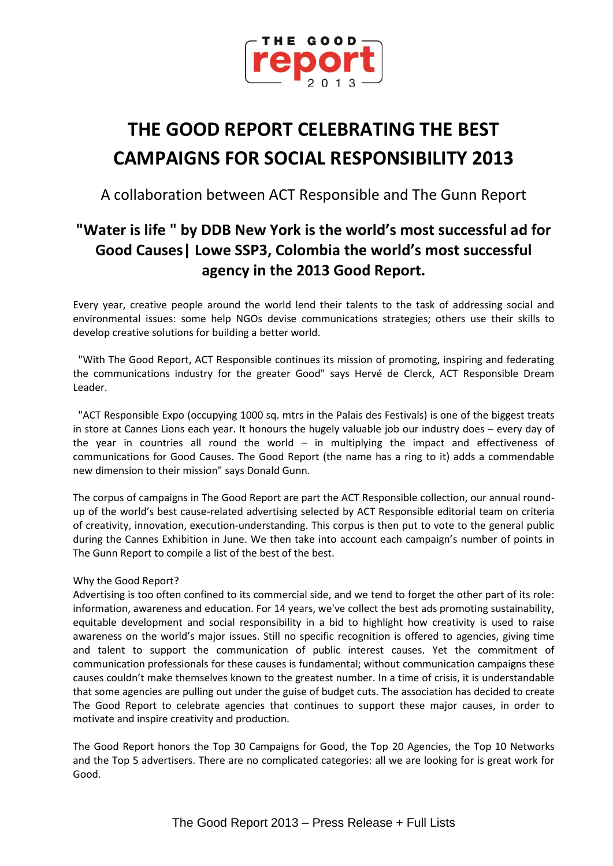

# **THE GOOD REPORT CELEBRATING THE BEST CAMPAIGNS FOR SOCIAL RESPONSIBILITY 2013**

A collaboration between ACT Responsible and The Gunn Report

## **"Water is life " by DDB New York is the world's most successful ad for Good Causes| Lowe SSP3, Colombia the world's most successful agency in the 2013 Good Report.**

Every year, creative people around the world lend their talents to the task of addressing social and environmental issues: some help NGOs devise communications strategies; others use their skills to develop creative solutions for building a better world.

 "With The Good Report, ACT Responsible continues its mission of promoting, inspiring and federating the communications industry for the greater Good" says Hervé de Clerck, ACT Responsible Dream Leader.

 "ACT Responsible Expo (occupying 1000 sq. mtrs in the Palais des Festivals) is one of the biggest treats in store at Cannes Lions each year. It honours the hugely valuable job our industry does – every day of the year in countries all round the world  $-$  in multiplying the impact and effectiveness of communications for Good Causes. The Good Report (the name has a ring to it) adds a commendable new dimension to their mission" says Donald Gunn.

The corpus of campaigns in The Good Report are part the ACT Responsible collection, our annual roundup of the world's best cause-related advertising selected by ACT Responsible editorial team on criteria of creativity, innovation, execution-understanding. This corpus is then put to vote to the general public during the Cannes Exhibition in June. We then take into account each campaign's number of points in The Gunn Report to compile a list of the best of the best.

### Why the Good Report?

Advertising is too often confined to its commercial side, and we tend to forget the other part of its role: information, awareness and education. For 14 years, we've collect the best ads promoting sustainability, equitable development and social responsibility in a bid to highlight how creativity is used to raise awareness on the world's major issues. Still no specific recognition is offered to agencies, giving time and talent to support the communication of public interest causes. Yet the commitment of communication professionals for these causes is fundamental; without communication campaigns these causes couldn't make themselves known to the greatest number. In a time of crisis, it is understandable that some agencies are pulling out under the guise of budget cuts. The association has decided to create The Good Report to celebrate agencies that continues to support these major causes, in order to motivate and inspire creativity and production.

The Good Report honors the Top 30 Campaigns for Good, the Top 20 Agencies, the Top 10 Networks and the Top 5 advertisers. There are no complicated categories: all we are looking for is great work for Good.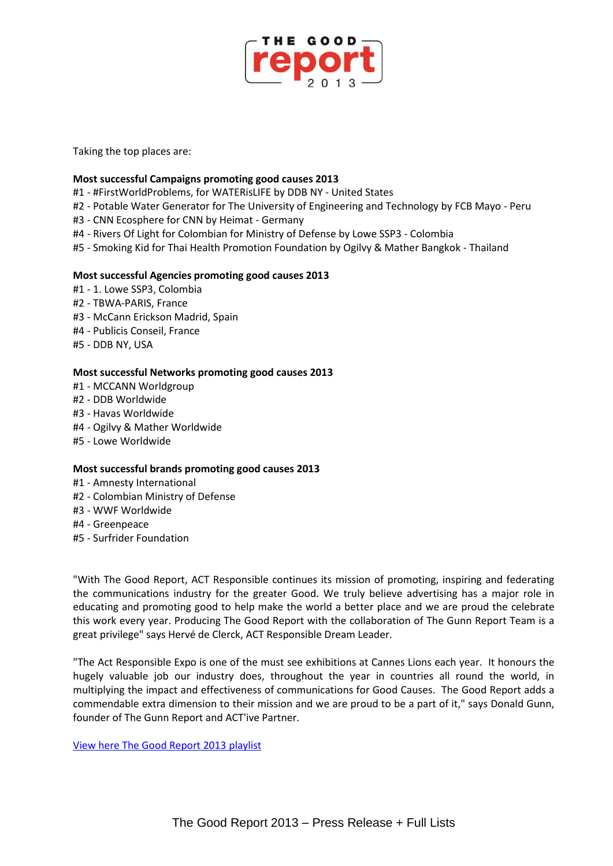

Taking the top places are:

#### **Most successful Campaigns promoting good causes 2013**

- #1 #FirstWorldProblems, for WATERisLIFE by DDB NY United States
- #2 Potable Water Generator for The University of Engineering and Technology by FCB Mayo Peru
- #3 CNN Ecosphere for CNN by Heimat Germany
- #4 Rivers Of Light for Colombian for Ministry of Defense by Lowe SSP3 Colombia
- #5 Smoking Kid for Thai Health Promotion Foundation by Ogilvy & Mather Bangkok Thailand

#### **Most successful Agencies promoting good causes 2013**

- #1 1. Lowe SSP3, Colombia
- #2 TBWA-PARIS, France
- #3 McCann Erickson Madrid, Spain
- #4 Publicis Conseil, France
- #5 DDB NY, USA

#### **Most successful Networks promoting good causes 2013**

- #1 MCCANN Worldgroup
- #2 DDB Worldwide
- #3 Havas Worldwide
- #4 Ogilvy & Mather Worldwide
- #5 Lowe Worldwide

#### **Most successful brands promoting good causes 2013**

- #1 Amnesty International
- #2 Colombian Ministry of Defense
- #3 WWF Worldwide
- #4 Greenpeace
- #5 Surfrider Foundation

"With The Good Report, ACT Responsible continues its mission of promoting, inspiring and federating the communications industry for the greater Good. We truly believe advertising has a major role in educating and promoting good to help make the world a better place and we are proud the celebrate this work every year. Producing The Good Report with the collaboration of The Gunn Report Team is a great privilege" says Hervé de Clerck, ACT Responsible Dream Leader.

"The Act Responsible Expo is one of the must see exhibitions at Cannes Lions each year. It honours the hugely valuable job our industry does, throughout the year in countries all round the world, in multiplying the impact and effectiveness of communications for Good Causes. The Good Report adds a commendable extra dimension to their mission and we are proud to be a part of it," says Donald Gunn, founder of The Gunn Report and ACT'ive Partner.

[View here The Good Report 2013](https://act.adforum.com/creative-work/playlist/16349/) playlist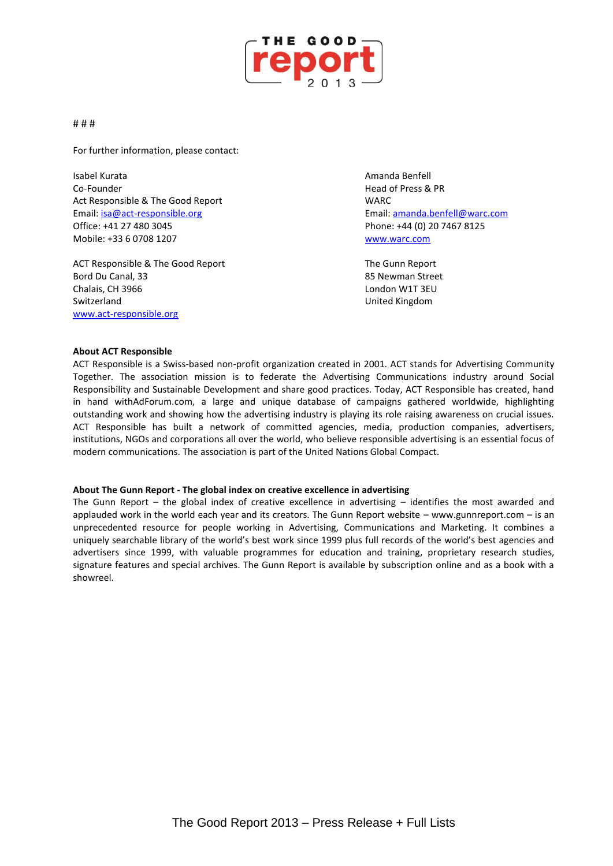

#### # # #

For further information, please contact:

Isabel Kurata Amanda Benfell Co-Founder Head of Press & PR Act Responsible & The Good Report NARC Email: [isa@act-responsible.org](mailto:isa@act-responsible.org) Email[: amanda.benfell@warc.com](mailto:amanda.benfell@warc.com) Office: +41 27 480 3045 Phone: +44 (0) 20 7467 8125 Mobile: +33 6 0708 1207 [www.warc.com](http://www.warc.com/)

ACT Responsible & The Good Report The Gunn Report Bord Du Canal, 33 **Bord Du Canal, 33 Bord Du Canal**, 33 **85 Newman Street** Chalais, CH 3966 London W1T 3EU Switzerland United Kingdom [www.act-responsible.org](http://www.act-responsible.org/)

#### **About ACT Responsible**

ACT Responsible is a Swiss-based non-profit organization created in 2001. ACT stands for Advertising Community Together. The association mission is to federate the Advertising Communications industry around Social Responsibility and Sustainable Development and share good practices. Today, ACT Responsible has created, hand in hand withAdForum.com, a large and unique database of campaigns gathered worldwide, highlighting outstanding work and showing how the advertising industry is playing its role raising awareness on crucial issues. ACT Responsible has built a network of committed agencies, media, production companies, advertisers, institutions, NGOs and corporations all over the world, who believe responsible advertising is an essential focus of modern communications. The association is part of the United Nations Global Compact.

#### **About The Gunn Report - The global index on creative excellence in advertising**

The Gunn Report – the global index of creative excellence in advertising – identifies the most awarded and applauded work in the world each year and its creators. The Gunn Report website – www.gunnreport.com – is an unprecedented resource for people working in Advertising, Communications and Marketing. It combines a uniquely searchable library of the world's best work since 1999 plus full records of the world's best agencies and advertisers since 1999, with valuable programmes for education and training, proprietary research studies, signature features and special archives. The Gunn Report is available by subscription online and as a book with a showreel.